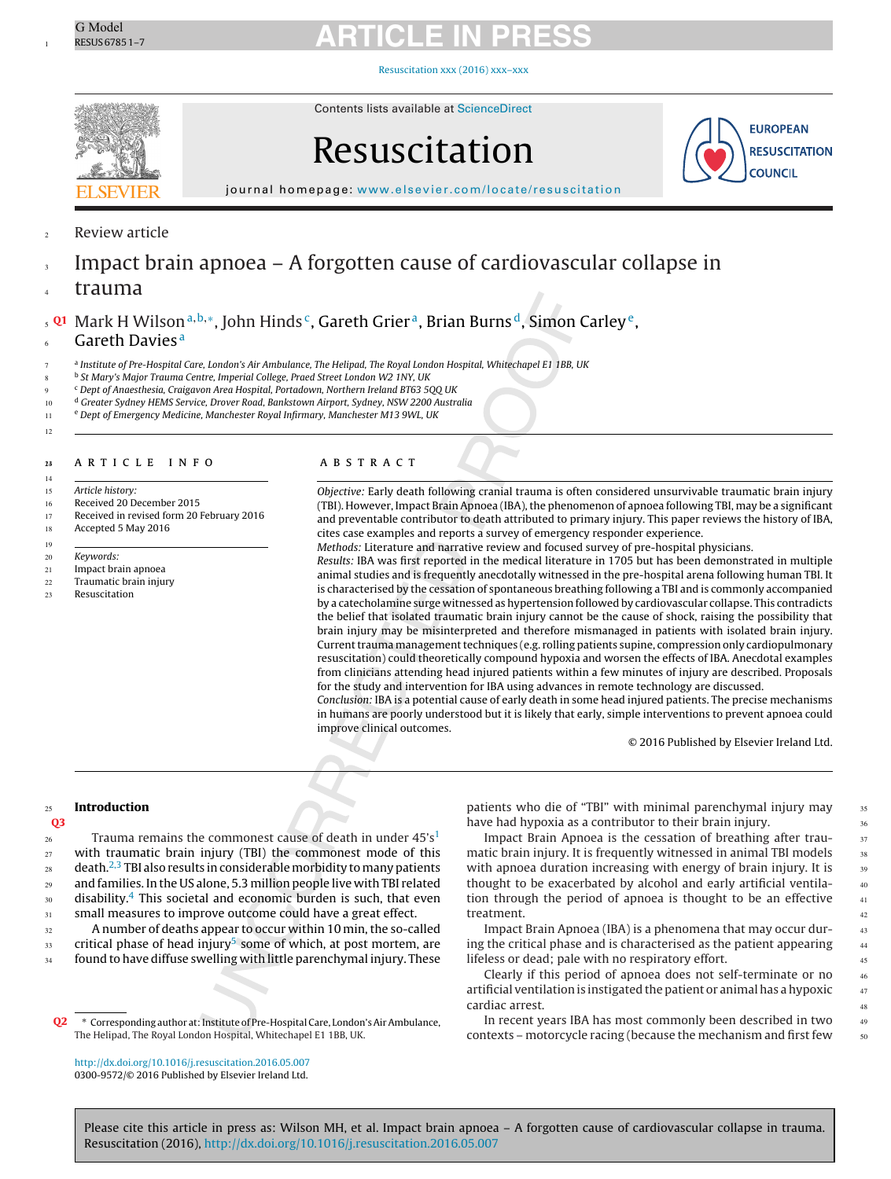1

3

12

## G Model G Model **ARTICLE IN PRESS**

[Resuscitation](dx.doi.org/10.1016/j.resuscitation.2016.05.007) xxx (2016) xxx–xxx



Contents lists available at [ScienceDirect](http://www.sciencedirect.com/science/journal/03009572)

# Resuscitation



iournal homepage: [www.elsevier.com/locate/resuscitation](http://www.elsevier.com/locate/resuscitation)

#### Review article 2

## Impact brain apnoea – A forgotten cause of cardiovascular collapse in

trauma 4

#### Mark H Wilson<sup>a,b,∗</sup>, John Hinds<sup>c</sup>, Gareth Grier<sup>a</sup>, Brian Burns<sup>d</sup>, Simon Carley<sup>e</sup>, Gareth Davies <sup>a</sup>  $501$ 6

a Institute of Pre-Hospital Care, London's Air Ambulance, The Helipad, The Royal London Hospital, Whitechapel E1 1BB, UK 7

b St Mary's Major Trauma Centre, Imperial College, Praed Street London W2 1NY, UK 8

<sup>c</sup> Dept of Anaesthesia, Craigavon Area Hospital, Portadown, Northern Ireland BT63 5QQ UK 9

<sup>d</sup> Greater Sydney HEMS Service, Drover Road, Bankstown Airport, Sydney, NSW 2200 Australia 10

<sup>e</sup> Dept of Emergency Medicine, Manchester Royal Infirmary, Manchester M13 9WL, UK 11

#### a r t i c l e i n f o 13

Article history: 14 15

- Received 20 December 2015 16
- Received in revised form 20 February 2016 17 23<br>14<br>15<br>16<br>16<br>17<br>18<br>20<br>21<br>22
- Accepted 5 May 2016 18

19

- Keywords: 20
- Impact brain apnoea 21
- Traumatic brain injury 22
- Resuscitation 23

## A B S T R A C T

Objective: Early death following cranial trauma is often considered unsurvivable traumatic brain injury (TBI). However, Impact Brain Apnoea (IBA), the phenomenon of apnoea following TBI, may be a significant and preventable contributor to death attributed to primary injury. This paper reviews the history of IBA, cites case examples and reports a survey of emergency responder experience.

Methods: Literature and narrative review and focused survey of pre-hospital physicians.

Results: IBA was first reported in the medical literature in 1705 but has been demonstrated in multiple animal studies and is frequently anecdotally witnessed in the pre-hospital arena following human TBI. It is characterised by the cessation of spontaneous breathing following a TBI and is commonly accompanied by a catecholamine surge witnessed as hypertension followed by cardiovascular collapse. This contradicts the belief that isolated traumatic brain injury cannot be the cause of shock, raising the possibility that brain injury may be misinterpreted and therefore mismanaged in patients with isolated brain injury. Current trauma management techniques (e.g. rolling patients supine, compression only cardiopulmonary resuscitation) could theoretically compound hypoxia and worsen the effects of IBA. Anecdotal examples from clinicians attending head injured patients within a few minutes of injury are described. Proposals for the study and intervention for IBA using advances in remote technology are discussed.

Conclusion: IBA is a potential cause of early death in some head injured patients. The precise mechanisms in humans are poorly understood but it is likely that early, simple interventions to prevent apnoea could improve clinical outcomes.

© 2016 Published by Elsevier Ireland Ltd.

## **Introduction**

## 25 **Q3**

Trauma remains the commonest cause of death in under 45'[s1](#page-5-0) with traumatic brain injury (TBI) the commonest mode of this death. $2,3$  TBI also results in considerable morbidity to many patients and families. In the US alone, 5.3 million people live with TBI related disability.[4](#page-5-0) This societal and economic burden is such, that even small measures to improve outcome could have a great effect. 26 27 28 29 30 31

A number of deaths appear to occur within 10 min, the so-called critical phase of head injury<sup>5</sup> some of which, at post mortem, are found to have diffuse swelling with little parenchymal injury. These 32 33 34

**Q2** \* Corresponding author at: Institute of Pre-Hospital Care, London's Air Ambulance, The Helipad, The Royal London Hospital, Whitechapel E1 1BB, UK.

[http://dx.doi.org/10.1016/j.resuscitation.2016.05.007](dx.doi.org/10.1016/j.resuscitation.2016.05.007) 0300-9572/© 2016 Published by Elsevier Ireland Ltd.

patients who die of "TBI" with minimal parenchymal injury may have had hypoxia as a contributor to their brain injury.

Impact Brain Apnoea is the cessation of breathing after traumatic brain injury. It is frequently witnessed in animal TBI models with apnoea duration increasing with energy of brain injury. It is thought to be exacerbated by alcohol and early artificial ventilation through the period of apnoea is thought to be an effective treatment.

Impact Brain Apnoea (IBA) is a phenomena that may occur during the critical phase and is characterised as the patient appearing lifeless or dead; pale with no respiratory effort.

Clearly if this period of apnoea does not self-terminate or no artificial ventilation is instigated the patient or animal has a hypoxic cardiac arrest.

In recent years IBA has most commonly been described in two contexts – motorcycle racing (because the mechanism and first few

49 50

35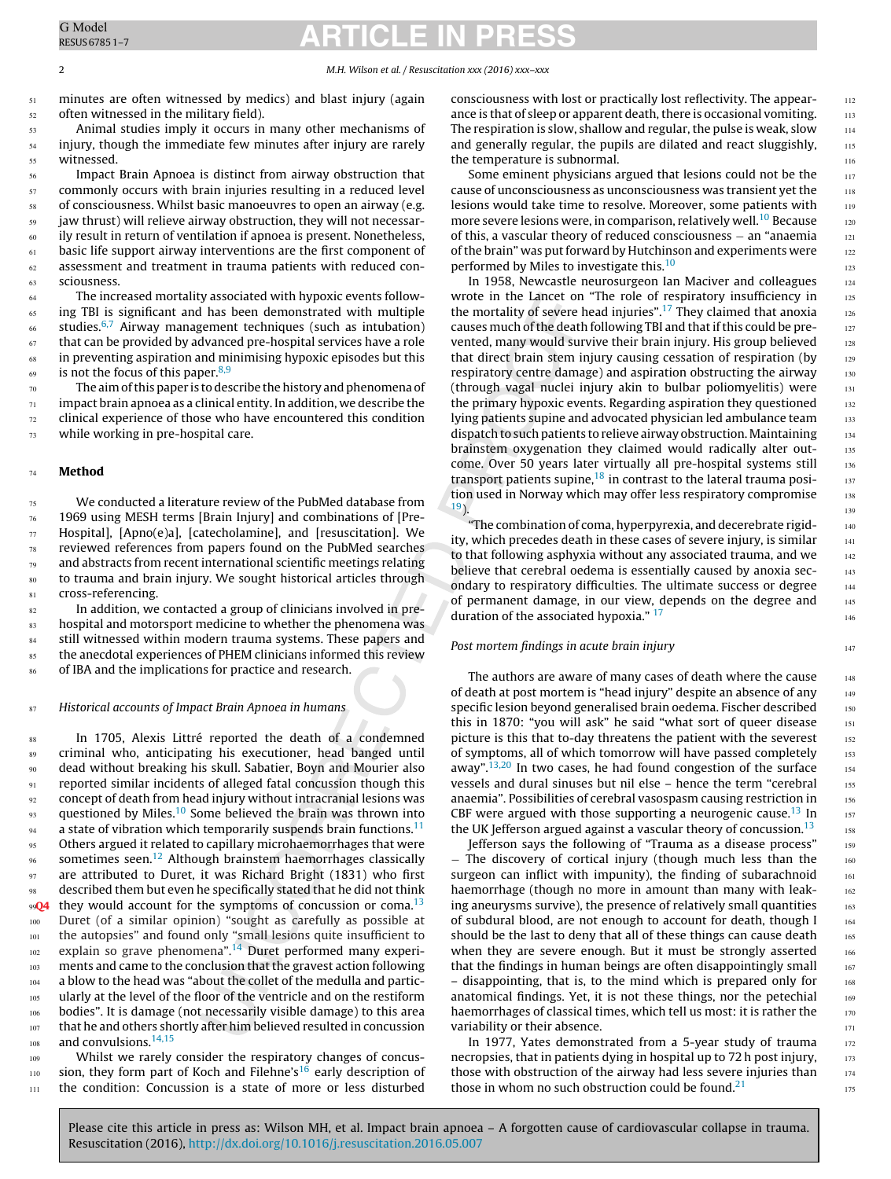## G Model G Model **ARTICLE IN PRESS**

2 M.H. Wilson et al. / Resuscitation xxx (2016) xxx–xxx

minutes are often witnessed by medics) and blast injury (again often witnessed in the military field).

Animal studies imply it occurs in many other mechanisms of injury, though the immediate few minutes after injury are rarely witnessed.

Impact Brain Apnoea is distinct from airway obstruction that commonly occurs with brain injuries resulting in a reduced level of consciousness. Whilst basic manoeuvres to open an airway (e.g. jaw thrust) will relieve airway obstruction, they will not necessarily result in return of ventilation if apnoea is present. Nonetheless, basic life support airway interventions are the first component of assessment and treatment in trauma patients with reduced consciousness.

The increased mortality associated with hypoxic events following TBI is significant and has been demonstrated with multiple studies. $6,7$  Airway management techniques (such as intubation) that can be provided by advanced pre-hospital services have a role in preventing aspiration and minimising hypoxic episodes but this is not the focus of this paper. $8,9$ 64 65 66 67 68

The aim of this paper is to describe the history and phenomena of impact brain apnoea as a clinical entity. In addition, we describe the clinical experience of those who have encountered this condition while working in pre-hospital care. 70 71 72 73

#### **Method** 74

69

We conducted a literature review of the PubMed database from 1969 using MESH terms [Brain Injury] and combinations of [Pre-Hospital], [Apno(e)a], [catecholamine], and [resuscitation]. We reviewed references from papers found on the PubMed searches and abstracts from recent international scientific meetings relating to trauma and brain injury. We sought historical articles through cross-referencing. 75 76 77 78 79 80 81

In addition, we contacted a group of clinicians involved in prehospital and motorsport medicine to whether the phenomena was still witnessed within modern trauma systems. These papers and the anecdotal experiences of PHEM clinicians informed this review of IBA and the implications for practice and research. 82 83 84 85 86

Historical accounts of Impact Brain Apnoea in humans 87

In 1705, Alexis Littré reported the death of a condemned criminal who, anticipating his executioner, head banged until dead without breaking his skull. Sabatier, Boyn and Mourier also reported similar incidents of alleged fatal concussion though this concept of death from head injury without intracranial lesions was questioned by Miles.<sup>[10](#page-5-0)</sup> Some believed the brain was thrown into a state of vibration which temporarily suspends brain functions. $11$ Others argued it related to capillary microhaemorrhages that were sometimes seen.<sup>12</sup> Although brainstem haemorrhages classically are attributed to Duret, it was Richard Bright (1831) who first described them but even he specifically stated that he did not think they would account for the symptoms of concussion or coma.<sup>[13](#page-5-0)</sup> Duret (of a similar opinion) "sought as carefully as possible at the autopsies" and found only "small lesions quite insufficient to explain so grave phenomena".<sup>[14](#page-5-0)</sup> Duret performed many experiments and came to the conclusion that the gravest action following a blow to the head was "about the collet of the medulla and particularly at the level of the floor of the ventricle and on the restiform bodies". It is damage (not necessarily visible damage) to this area that he and others shortly after him believed resulted in concussion and convulsions[.14,15](#page-5-0) 88 89 90 91 92 93  $94$  $05$ 96 97 98 99**04** 100 101 102 103 104 105 106 107 108

Whilst we rarely consider the respiratory changes of concus-sion, they form part of Koch and Filehne's<sup>[16](#page-5-0)</sup> early description of the condition: Concussion is a state of more or less disturbed 109 110 111

consciousness with lost or practically lost reflectivity. The appearance is that of sleep or apparent death, there is occasional vomiting. The respiration is slow, shallow and regular, the pulse is weak, slow and generally regular, the pupils are dilated and react sluggishly, the temperature is subnormal.

Some eminent physicians argued that lesions could not be the cause of unconsciousness as unconsciousness was transient yet the lesions would take time to resolve. Moreover, some patients with more severe lesions were, in comparison, relatively well.<sup>10</sup> Because of this, a vascular theory of reduced consciousness – an "anaemia of the brain" was put forward by Hutchinson and experiments were performed by Miles to investigate this.<sup>10</sup>

In 1958, Newcastle neurosurgeon Ian Maciver and colleagues wrote in the Lancet on "The role of respiratory insufficiency in the mortality of severe head injuries".<sup>17</sup> They claimed that anoxia causes much of the death following TBI and that if this could be prevented, many would survive their brain injury. His group believed that direct brain stem injury causing cessation of respiration (by respiratory centre damage) and aspiration obstructing the airway (through vagal nuclei injury akin to bulbar poliomyelitis) were the primary hypoxic events. Regarding aspiration they questioned lying patients supine and advocated physician led ambulance team dispatch to such patients to relieve airway obstruction. Maintaining brainstem oxygenation they claimed would radically alter outcome. Over 50 years later virtually all pre-hospital systems still transport patients supine, $18$  in contrast to the lateral trauma position used in Norway which may offer less respiratory compromise [19\).](#page-5-0)

"The combination of coma, hyperpyrexia, and decerebrate rigidity, which precedes death in these cases of severe injury, is similar to that following asphyxia without any associated trauma, and we believe that cerebral oedema is essentially caused by anoxia secondary to respiratory difficulties. The ultimate success or degree of permanent damage, in our view, depends on the degree and duration of the associated hypoxia." <sup>[17](#page-5-0)</sup>

### Post mortem findings in acute brain injury

The authors are aware of many cases of death where the cause of death at post mortem is "head injury" despite an absence of any specific lesion beyond generalised brain oedema. Fischer described this in 1870: "you will ask" he said "what sort of queer disease picture is this that to-day threatens the patient with the severest of symptoms, all of which tomorrow will have passed completely away". $13,20$  In two cases, he had found congestion of the surface vessels and dural sinuses but nil else – hence the term "cerebral anaemia". Possibilities of cerebral vasospasm causing restriction in CBF were argued with those supporting a neurogenic cause.<sup>[13](#page-5-0)</sup> In the UK Jefferson argued against a vascular theory of concussion.<sup>[13](#page-5-0)</sup>

Jefferson says the following of "Trauma as a disease process" − The discovery of cortical injury (though much less than the surgeon can inflict with impunity), the finding of subarachnoid haemorrhage (though no more in amount than many with leaking aneurysms survive), the presence of relatively small quantities of subdural blood, are not enough to account for death, though I should be the last to deny that all of these things can cause death when they are severe enough. But it must be strongly asserted that the findings in human beings are often disappointingly small – disappointing, that is, to the mind which is prepared only for anatomical findings. Yet, it is not these things, nor the petechial haemorrhages of classical times, which tell us most: it is rather the variability or their absence.

In 1977, Yates demonstrated from a 5-year study of trauma necropsies, that in patients dying in hospital up to 72 h post injury, those with obstruction of the airway had less severe injuries than those in whom no such obstruction could be found.<sup>[21](#page-5-0)</sup>

146 147

148 149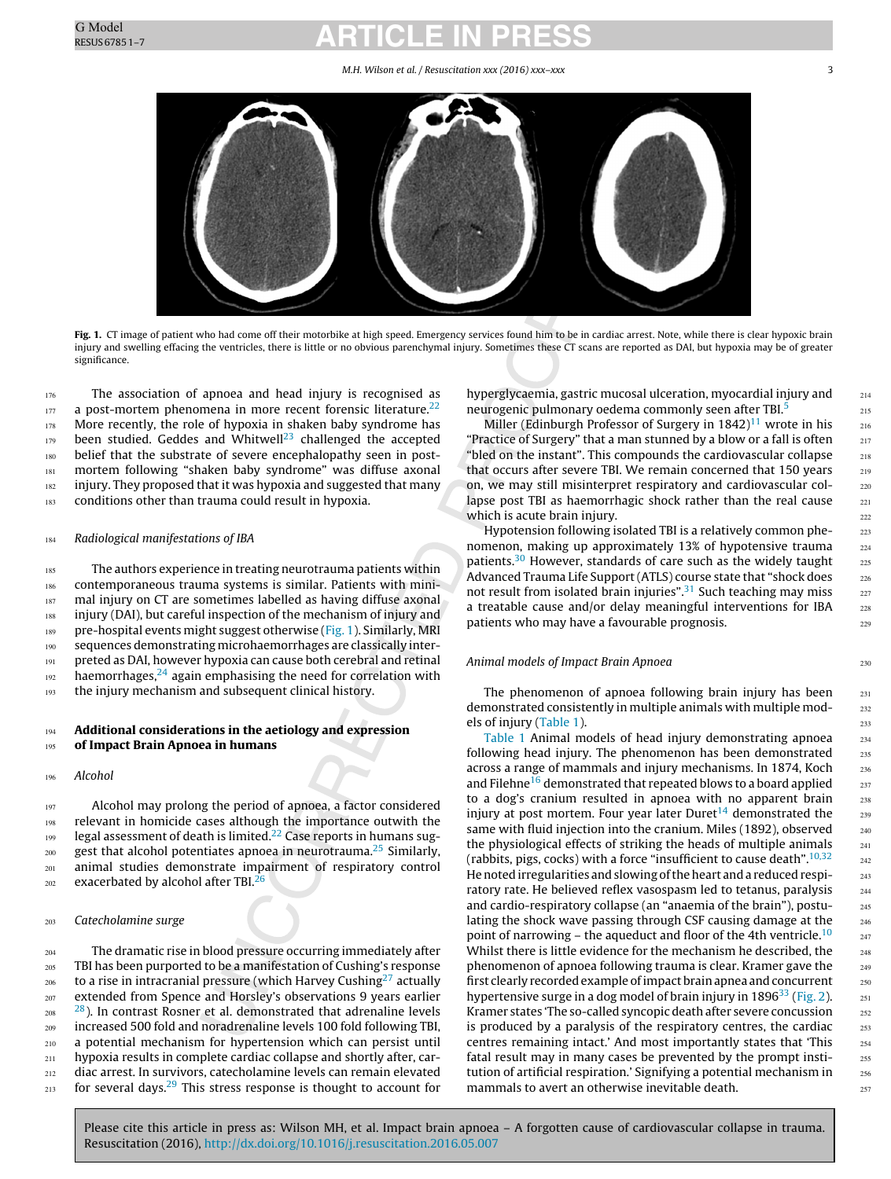### M.H. Wilson et al. / Resuscitation xxx (2016) xxx-xxx 3



Fig. 1. CT image of patient who had come off their motorbike at high speed. Emergency services found him to be in cardiac arrest. Note, while there is clear hypoxic brain injury and swelling effacing the ventricles, there is little or no obvious parenchymal injury. Sometimes these CT scans are reported as DAI, but hypoxia may be of greater significance.

The association of apnoea and head injury is recognised as a post-mortem phenomena in more recent forensic literature. $22$ More recently, the role of hypoxia in shaken baby syndrome has been studied. Geddes and Whitwell<sup>23</sup> challenged the accepted belief that the substrate of severe encephalopathy seen in postmortem following "shaken baby syndrome" was diffuse axonal injury. They proposed that it was hypoxia and suggested that many conditions other than trauma could result in hypoxia. 176 177 178 179 180 181 182 183

#### Radiological manifestations of IBA 184

The authors experience in treating neurotrauma patients within contemporaneous trauma systems is similar. Patients with minimal injury on CT are sometimes labelled as having diffuse axonal injury (DAI), but careful inspection of the mechanism of injury and pre-hospital events might suggest otherwise (Fig. 1). Similarly, MRI sequences demonstrating microhaemorrhages are classically interpreted as DAI, however hypoxia can cause both cerebral and retinal haemorrhages, $24$  again emphasising the need for correlation with the injury mechanism and subsequent clinical history. 185 186 187 188 189 190 191 192 193

#### **Additional considerations in the aetiology and expression of Impact Brain Apnoea in humans** 194 195

#### Alcohol 196

Alcohol may prolong the period of apnoea, a factor considered relevant in homicide cases although the importance outwith the legal assessment of death is limited.<sup>22</sup> Case reports in humans sug-gest that alcohol potentiates apnoea in neurotrauma.<sup>[25](#page-6-0)</sup> Similarly, animal studies demonstrate impairment of respiratory control exacerbated by alcohol after TBI. $^{26}$  $^{26}$  $^{26}$ 197 198 199 200 201 202

#### Catecholamine surge 203

The dramatic rise in blood pressure occurring immediately after TBI has been purported to be a manifestation of Cushing's response to a rise in intracranial pressure (which Harvey Cushing $27$  actually extended from Spence and Horsley's observations 9 years earlier  $28$ ). In contrast Rosner et al. demonstrated that adrenaline levels increased 500 fold and noradrenaline levels 100 fold following TBI, a potential mechanism for hypertension which can persist until hypoxia results in complete cardiac collapse and shortly after, cardiac arrest. In survivors, catecholamine levels can remain elevated for several days. $29$  This stress response is thought to account for 204 205 206 207 208 209 210 211 212 213

hyperglycaemia, gastric mucosal ulceration, myocardial injury and neurogenic pulmonary oedema commonly seen after TBI[.5](#page-5-0)

Miller (Edinburgh Professor of Surgery in  $1842$ )<sup>11</sup> wrote in his "Practice of Surgery" that a man stunned by a blow or a fall is often "bled on the instant". This compounds the cardiovascular collapse that occurs after severe TBI. We remain concerned that 150 years on, we may still misinterpret respiratory and cardiovascular collapse post TBI as haemorrhagic shock rather than the real cause which is acute brain injury.

Hypotension following isolated TBI is a relatively common phenomenon, making up approximately 13% of hypotensive trauma patients.<sup>30</sup> However, standards of care such as the widely taught Advanced Trauma Life Support(ATLS) course state that "shock does not result from isolated brain injuries". $31$  Such teaching may miss a treatable cause and/or delay meaningful interventions for IBA patients who may have a favourable prognosis.

## Animal models of Impact Brain Apnoea

The phenomenon of apnoea following brain injury has been demonstrated consistently in multiple animals with multiple models of injury [\(Table](#page-3-0) 1).

[Table](#page-3-0) 1 Animal models of head injury demonstrating apnoea following head injury. The phenomenon has been demonstrated across a range of mammals and injury mechanisms. In 1874, Koch and Filehne<sup>[16](#page-5-0)</sup> demonstrated that repeated blows to a board applied to a dog's cranium resulted in apnoea with no apparent brain injury at post mortem. Four year later  $Duret^{14}$  $Duret^{14}$  $Duret^{14}$  demonstrated the same with fluid injection into the cranium. Miles (1892), observed the physiological effects of striking the heads of multiple animals (rabbits, pigs, cocks) with a force "insufficient to cause death".  $10,32$ He noted irregularities and slowing of the heart and a reduced respiratory rate. He believed reflex vasospasm led to tetanus, paralysis and cardio-respiratory collapse (an "anaemia of the brain"), postulating the shock wave passing through CSF causing damage at the point of narrowing – the aqueduct and floor of the 4th ventricle.<sup>10</sup> Whilst there is little evidence for the mechanism he described, the phenomenon of apnoea following trauma is clear. Kramer gave the first clearly recorded example of impact brain apnea and concurrent hypertensive surge in a dog model of brain injury in  $1896^{33}$  $1896^{33}$  $1896^{33}$  [\(Fig.](#page-3-0) 2). Kramer states 'The so-called syncopic death after severe concussion is produced by a paralysis of the respiratory centres, the cardiac centres remaining intact.' And most importantly states that 'This fatal result may in many cases be prevented by the prompt institution of artificial respiration.' Signifying a potential mechanism in mammals to avert an otherwise inevitable death.

Please cite this article in press as: Wilson MH, et al. Impact brain apnoea – A forgotten cause of cardiovascular collapse in trauma. Resuscitation (2016), [http://dx.doi.org/10.1016/j.resuscitation.2016.05.007](dx.doi.org/10.1016/j.resuscitation.2016.05.007)

230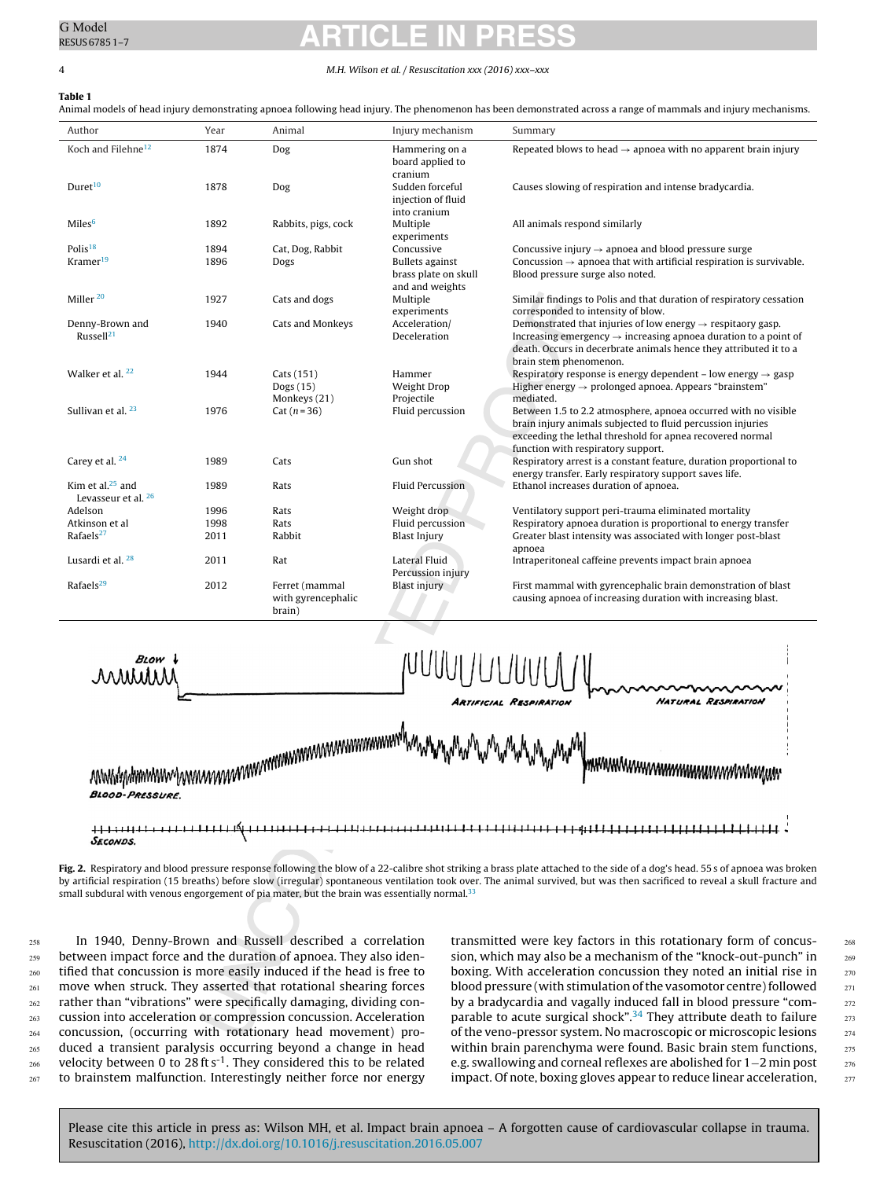### <span id="page-3-0"></span>4 M.H. Wilson et al. / Resuscitation xxx (2016) xxx–xxx

**Table 1**

Animal models of head injury demonstrating apnoea following head injury. The phenomenon has been demonstrated across a range of mammals and injury mechanisms.

| Author                                     | Year | Animal                                         | Injury mechanism                                                  | Summary                                                                                                                                                                                                                                               |
|--------------------------------------------|------|------------------------------------------------|-------------------------------------------------------------------|-------------------------------------------------------------------------------------------------------------------------------------------------------------------------------------------------------------------------------------------------------|
| Koch and Filehne <sup>12</sup>             | 1874 | Dog                                            | Hammering on a<br>board applied to<br>cranium                     | Repeated blows to head $\rightarrow$ apnoea with no apparent brain injury                                                                                                                                                                             |
| Duret <sup>10</sup>                        | 1878 | Dog                                            | Sudden forceful<br>injection of fluid<br>into cranium             | Causes slowing of respiration and intense bradycardia.                                                                                                                                                                                                |
| Miles <sup>6</sup>                         | 1892 | Rabbits, pigs, cock                            | Multiple<br>experiments                                           | All animals respond similarly                                                                                                                                                                                                                         |
| Polis $18$                                 | 1894 | Cat, Dog, Rabbit                               | Concussive                                                        | Concussive injury $\rightarrow$ apnoea and blood pressure surge                                                                                                                                                                                       |
| Kramer <sup>19</sup>                       | 1896 | Dogs                                           | <b>Bullets against</b><br>brass plate on skull<br>and and weights | Concussion $\rightarrow$ apnoea that with artificial respiration is survivable.<br>Blood pressure surge also noted.                                                                                                                                   |
| Miller $20$                                | 1927 | Cats and dogs                                  | Multiple<br>experiments                                           | Similar findings to Polis and that duration of respiratory cessation<br>corresponded to intensity of blow.                                                                                                                                            |
| Denny-Brown and<br>Russell <sup>21</sup>   | 1940 | Cats and Monkeys                               | Acceleration/<br>Deceleration                                     | Demonstrated that injuries of low energy $\rightarrow$ respitaory gasp.<br>Increasing emergency $\rightarrow$ increasing apnoea duration to a point of<br>death. Occurs in decerbrate animals hence they attributed it to a<br>brain stem phenomenon. |
| Walker et al. <sup>22</sup>                | 1944 | Cats (151)<br>Dogs $(15)$<br>Monkeys (21)      | Hammer<br>Weight Drop<br>Projectile                               | Respiratory response is energy dependent – low energy $\rightarrow$ gasp<br>Higher energy $\rightarrow$ prolonged apnoea. Appears "brainstem"<br>mediated.                                                                                            |
| Sullivan et al. 23                         | 1976 | $Cat (n = 36)$                                 | Fluid percussion                                                  | Between 1.5 to 2.2 atmosphere, apnoea occurred with no visible<br>brain injury animals subjected to fluid percussion injuries<br>exceeding the lethal threshold for apnea recovered normal<br>function with respiratory support.                      |
| Carey et al. 24                            | 1989 | Cats                                           | Gun shot                                                          | Respiratory arrest is a constant feature, duration proportional to<br>energy transfer. Early respiratory support saves life.                                                                                                                          |
| Kim et al. $25$ and<br>Levasseur et al. 26 | 1989 | Rats                                           | <b>Fluid Percussion</b>                                           | Ethanol increases duration of apnoea.                                                                                                                                                                                                                 |
| Adelson                                    | 1996 | Rats                                           | Weight drop                                                       | Ventilatory support peri-trauma eliminated mortality                                                                                                                                                                                                  |
| Atkinson et al                             | 1998 | Rats                                           | Fluid percussion                                                  | Respiratory apnoea duration is proportional to energy transfer                                                                                                                                                                                        |
| Rafaels $27$                               | 2011 | Rabbit                                         | <b>Blast Injury</b>                                               | Greater blast intensity was associated with longer post-blast<br>apnoea                                                                                                                                                                               |
| Lusardi et al. 28                          | 2011 | Rat                                            | Lateral Fluid<br>Percussion injury                                | Intraperitoneal caffeine prevents impact brain apnoea                                                                                                                                                                                                 |
| Rafaels <sup>29</sup>                      | 2012 | Ferret (mammal<br>with gyrencephalic<br>brain) | Blast injury                                                      | First mammal with gyrencephalic brain demonstration of blast<br>causing apnoea of increasing duration with increasing blast.                                                                                                                          |
|                                            |      |                                                |                                                                   |                                                                                                                                                                                                                                                       |
| <b>BLOW</b><br>ummun                       |      |                                                |                                                                   |                                                                                                                                                                                                                                                       |
|                                            |      |                                                |                                                                   | NATURAL RESPIRATION<br>IFICIAL RESPIRATION                                                                                                                                                                                                            |
|                                            |      |                                                |                                                                   |                                                                                                                                                                                                                                                       |
|                                            |      |                                                |                                                                   | www.international.com/www.com/www.com/www.com/www.com/www.com/www.com/www.com/www.com/www.com/www.com/www.com/<br>www.international.com/www.com/www.com/www.com/www.com/www.com/www.com/www.com/www.com/www.com/www.com/www.com/                      |
|                                            |      |                                                |                                                                   |                                                                                                                                                                                                                                                       |

SECONDS.

Fig. 2. Respiratory and blood pressure response following the blow of a 22-calibre shot striking a brass plate attached to the side of a dog's head. 55 s of apnoea was broken by artificial respiration (15 breaths) before slow (irregular) spontaneous ventilation took over. The animal survived, but was then sacrificed to reveal a skull fracture and small subdural with venous engorgement of pia mater, but the brain was essentially normal.<sup>33</sup>

In 1940, Denny-Brown and Russell described a correlation between impact force and the duration of apnoea. They also identified that concussion is more easily induced if the head is free to move when struck. They asserted that rotational shearing forces rather than "vibrations" were specifically damaging, dividing concussion into acceleration or compression concussion. Acceleration concussion, (occurring with rotationary head movement) produced a transient paralysis occurring beyond a change in head velocity between 0 to 28 ft  $s^{-1}$ . They considered this to be related to brainstem malfunction. Interestingly neither force nor energy 258 259 260 261 262 263 264 265 266 267

transmitted were key factors in this rotationary form of concussion, which may also be a mechanism of the "knock-out-punch" in boxing. With acceleration concussion they noted an initial rise in blood pressure (with stimulation of the vasomotor centre) followed by a bradycardia and vagally induced fall in blood pressure "comparable to acute surgical shock". $34$  They attribute death to failure of the veno-pressor system. No macroscopic or microscopic lesions within brain parenchyma were found. Basic brain stem functions, e.g. swallowing and corneal reflexes are abolished for 1−2 min post impact. Of note, boxing gloves appear to reduce linear acceleration,

277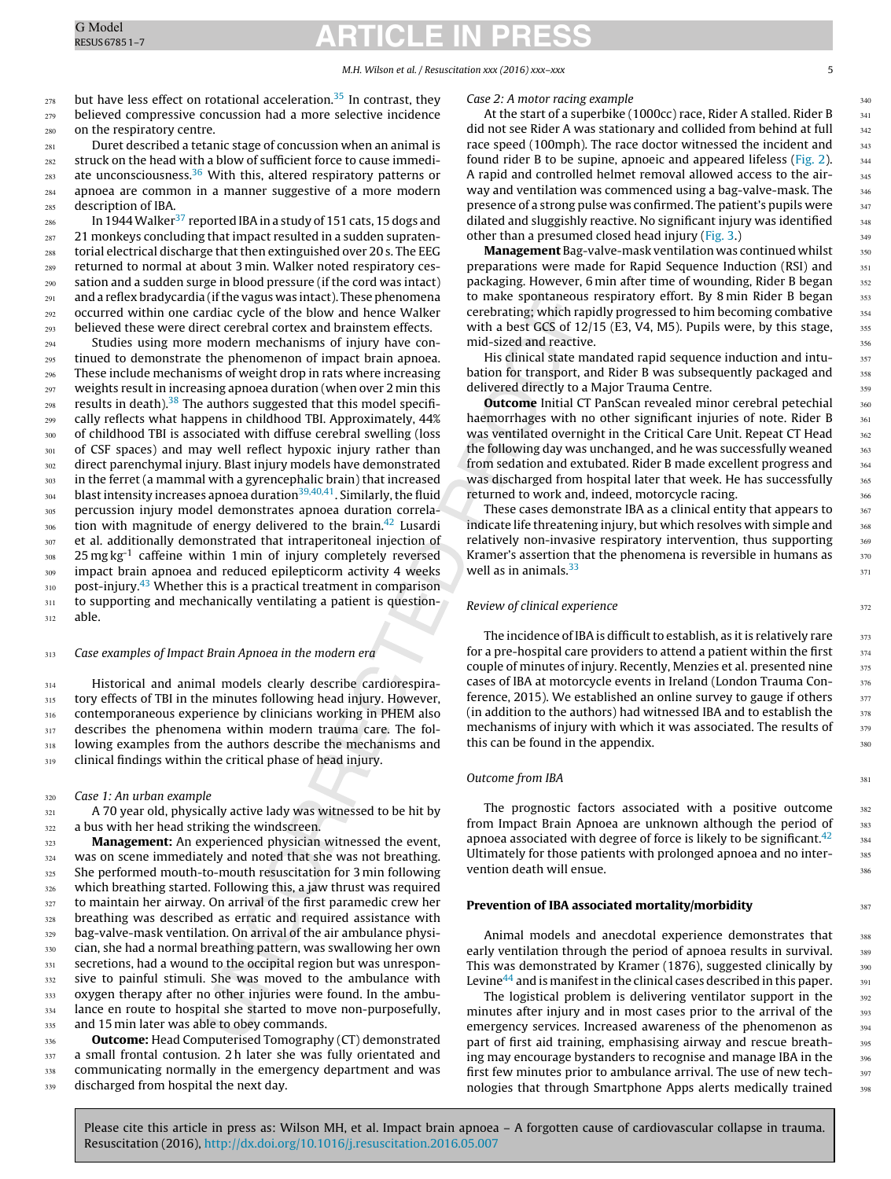### M.H. Wilson et al. / Resuscitation xxx (2016) xxx–xxx 5

372

381

387

but have less effect on rotational acceleration. $35$  In contrast, they believed compressive concussion had a more selective incidence on the respiratory centre. 278 279 280

Duret described a tetanic stage of concussion when an animal is struck on the head with a blow of sufficient force to cause immediate unconsciousness.<sup>36</sup> With this, altered respiratory patterns or apnoea are common in a manner suggestive of a more modern description of IBA. 281 282 283 284 285

In 1944 Walker<sup>[37](#page-6-0)</sup> reported IBA in a study of 151 cats, 15 dogs and 21 monkeys concluding that impact resulted in a sudden supratentorial electrical discharge that then extinguished over 20 s. The EEG returned to normal at about 3 min. Walker noted respiratory cessation and a sudden surge in blood pressure (if the cord was intact) and a reflex bradycardia (ifthe vagus was intact). These phenomena occurred within one cardiac cycle of the blow and hence Walker believed these were direct cerebral cortex and brainstem effects. 286 287 288 289 290 291 292 293

Studies using more modern mechanisms of injury have continued to demonstrate the phenomenon of impact brain apnoea. These include mechanisms of weight drop in rats where increasing weights result in increasing apnoea duration (when over 2 min this results in death)[.38](#page-6-0) The authors suggested that this model specifically reflects what happens in childhood TBI. Approximately, 44% of childhood TBI is associated with diffuse cerebral swelling (loss of CSF spaces) and may well reflect hypoxic injury rather than direct parenchymal injury. Blast injury models have demonstrated in the ferret (a mammal with a gyrencephalic brain) that increased blast intensity increases apnoea duration<sup>39,40,41</sup>. Similarly, the fluid percussion injury model demonstrates apnoea duration correlation with magnitude of energy delivered to the brain.<sup>42</sup> Lusardi et al. additionally demonstrated that intraperitoneal injection of  $25 \,\text{mg}\,\text{kg}^{-1}$  caffeine within 1 min of injury completely reversed impact brain apnoea and reduced epilepticorm activity 4 weeks post-injury[.43](#page-6-0) Whether this is a practical treatment in comparison to supporting and mechanically ventilating a patient is questionable. 294 295 296 297 298 299 300 301 302 303 304 305 306 307 308 309 310 311 312

Case examples of Impact Brain Apnoea in the modern era 313

Historical and animal models clearly describe cardiorespiratory effects of TBI in the minutes following head injury. However, contemporaneous experience by clinicians working in PHEM also describes the phenomena within modern trauma care. The following examples from the authors describe the mechanisms and clinical findings within the critical phase of head injury. 314 315 316 317 318 319

#### Case 1: An urban example 320

A 70 year old, physically active lady was witnessed to be hit by a bus with her head striking the windscreen. 321 322

**Management:** An experienced physician witnessed the event, was on scene immediately and noted that she was not breathing. She performed mouth-to-mouth resuscitation for 3 min following which breathing started. Following this, a jaw thrust was required to maintain her airway. On arrival of the first paramedic crew her breathing was described as erratic and required assistance with bag-valve-mask ventilation. On arrival of the air ambulance physician, she had a normal breathing pattern, was swallowing her own secretions, had a wound to the occipital region but was unresponsive to painful stimuli. She was moved to the ambulance with oxygen therapy after no other injuries were found. In the ambulance en route to hospital she started to move non-purposefully, and 15 min later was able to obey commands. 323 324 325 326 327 328 329 330 331 332 333 334 335

**Outcome:** Head Computerised Tomography (CT) demonstrated a small frontal contusion. 2 h later she was fully orientated and communicating normally in the emergency department and was discharged from hospital the next day. 336 337 338 339

### Case 2: A motor racing example

At the start of a superbike (1000cc) race, Rider A stalled. Rider B did not see Rider A was stationary and collided from behind at full race speed (100mph). The race doctor witnessed the incident and found rider B to be supine, apnoeic and appeared lifeless [\(Fig.](#page-3-0) 2). A rapid and controlled helmet removal allowed access to the airway and ventilation was commenced using a bag-valve-mask. The presence of a strong pulse was confirmed. The patient's pupils were dilated and sluggishly reactive. No significant injury was identified other than a presumed closed head injury [\(Fig.](#page-5-0) 3.)

**Management** Bag-valve-mask ventilation was continued whilst preparations were made for Rapid Sequence Induction (RSI) and packaging. However, 6 min after time of wounding, Rider B began to make spontaneous respiratory effort. By 8 min Rider B began cerebrating; which rapidly progressed to him becoming combative with a best GCS of 12/15 (E3, V4, M5). Pupils were, by this stage, mid-sized and reactive.

His clinical state mandated rapid sequence induction and intubation for transport, and Rider B was subsequently packaged and delivered directly to a Major Trauma Centre.

**Outcome** Initial CT PanScan revealed minor cerebral petechial haemorrhages with no other significant injuries of note. Rider B was ventilated overnight in the Critical Care Unit. Repeat CT Head the following day was unchanged, and he was successfully weaned from sedation and extubated. Rider B made excellent progress and was discharged from hospital later that week. He has successfully returned to work and, indeed, motorcycle racing.

These cases demonstrate IBA as a clinical entity that appears to indicate life threatening injury, but which resolves with simple and relatively non-invasive respiratory intervention, thus supporting Kramer's assertion that the phenomena is reversible in humans as well as in animals. $33$ 

## Review of clinical experience

The incidence of IBA is difficult to establish, as it is relatively rare for a pre-hospital care providers to attend a patient within the first couple of minutes of injury. Recently, Menzies et al. presented nine cases of IBA at motorcycle events in Ireland (London Trauma Conference, 2015). We established an online survey to gauge if others (in addition to the authors) had witnessed IBA and to establish the mechanisms of injury with which it was associated. The results of this can be found in the appendix.

### Outcome from IBA

The prognostic factors associated with a positive outcome from Impact Brain Apnoea are unknown although the period of apnoea associated with degree of force is likely to be significant. $42$ Ultimately for those patients with prolonged apnoea and no intervention death will ensue.

### **Prevention of IBA associated mortality/morbidity**

Animal models and anecdotal experience demonstrates that early ventilation through the period of apnoea results in survival. This was demonstrated by Kramer (1876), suggested clinically by Levine<sup>44</sup> and is manifest in the clinical cases described in this paper.

The logistical problem is delivering ventilator support in the minutes after injury and in most cases prior to the arrival of the emergency services. Increased awareness of the phenomenon as part of first aid training, emphasising airway and rescue breathing may encourage bystanders to recognise and manage IBA in the first few minutes prior to ambulance arrival. The use of new technologies that through Smartphone Apps alerts medically trained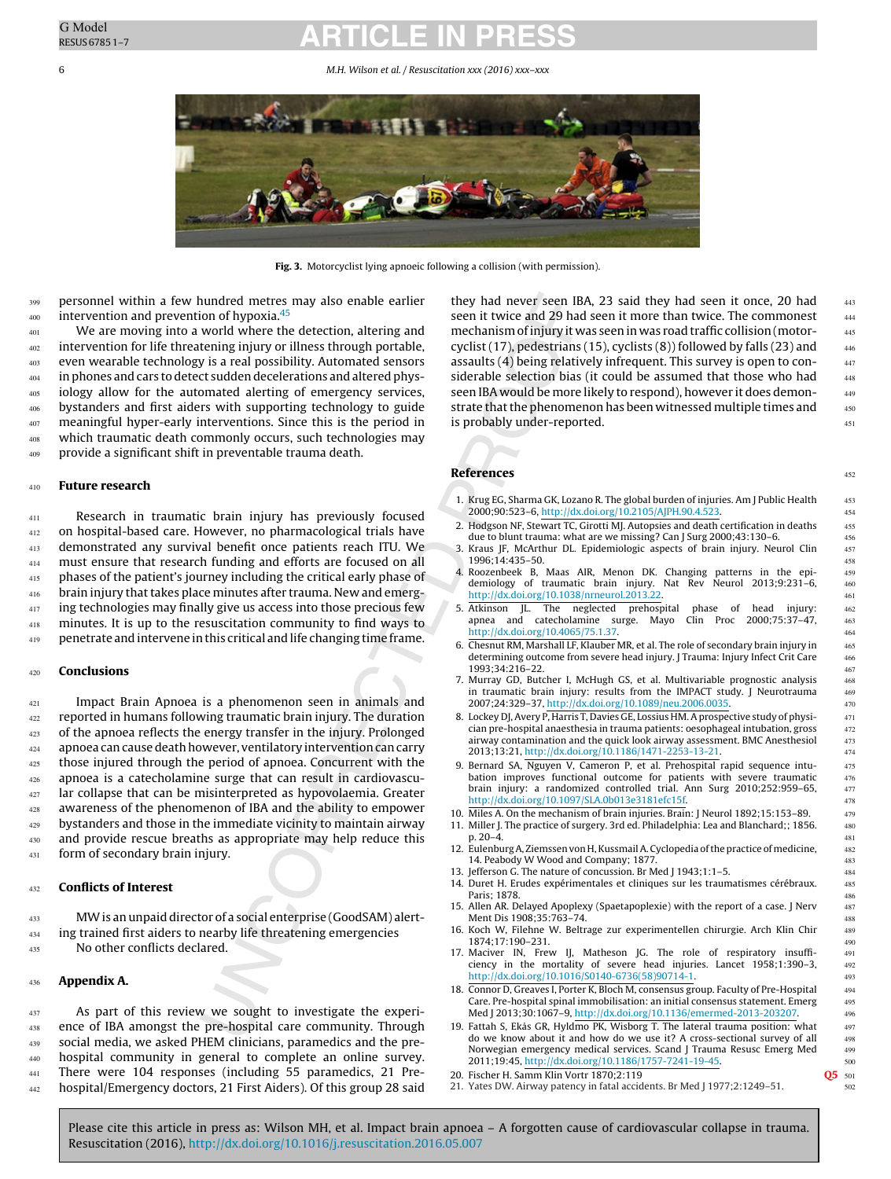<span id="page-5-0"></span>6 M.H. Wilson et al. / Resuscitation xxx (2016) xxx–xxx



**Fig. 3.** Motorcyclist lying apnoeic following a collision (with permission).

personnel within a few hundred metres may also enable earlier intervention and prevention of hypoxia.[45](#page-6-0) 399 400

We are moving into a world where the detection, altering and intervention for life threatening injury or illness through portable, even wearable technology is a real possibility. Automated sensors in phones and cars to detect sudden decelerations and altered physiology allow for the automated alerting of emergency services, bystanders and first aiders with supporting technology to guide meaningful hyper-early interventions. Since this is the period in which traumatic death commonly occurs, such technologies may provide a significant shift in preventable trauma death. 401 402 403 404 405 406 407 408 409

#### **Future research** 410

Research in traumatic brain injury has previously focused on hospital-based care. However, no pharmacological trials have demonstrated any survival benefit once patients reach ITU. We must ensure that research funding and efforts are focused on all phases of the patient's journey including the critical early phase of brain injury that takes place minutes after trauma. New and emerging technologies may finally give us access into those precious few minutes. It is up to the resuscitation community to find ways to penetrate and intervene in this critical and life changing time frame. 411 412 413 414 415 416 417 418 419

#### **Conclusions** 420

Impact Brain Apnoea is a phenomenon seen in animals and reported in humans following traumatic brain injury. The duration of the apnoea reflects the energy transfer in the injury. Prolonged apnoea can cause death however, ventilatory intervention can carry those injured through the period of apnoea. Concurrent with the apnoea is a catecholamine surge that can result in cardiovascular collapse that can be misinterpreted as hypovolaemia. Greater awareness of the phenomenon of IBA and the ability to empower bystanders and those in the immediate vicinity to maintain airway and provide rescue breaths as appropriate may help reduce this form of secondary brain injury. 421 422 423  $424$ 425 426 427 428 429 430 431

#### **Conflicts of Interest** 432

MWis an unpaid director of a social enterprise (GoodSAM) alerting trained first aiders to nearby life threatening emergencies No other conflicts declared. 433 434 435

#### **Appendix A.** 436

As part of this review we sought to investigate the experience of IBA amongst the pre-hospital care community. Through social media, we asked PHEM clinicians, paramedics and the prehospital community in general to complete an online survey. There were 104 responses (including 55 paramedics, 21 Prehospital/Emergency doctors, 21 First Aiders). Of this group 28 said 437 438 439 440 441 442

they had never seen IBA, 23 said they had seen it once, 20 had seen it twice and 29 had seen it more than twice. The commonest mechanismofinjury it was seen in was road traffic collision (motorcyclist (17), pedestrians (15), cyclists (8)) followed by falls (23) and assaults (4) being relatively infrequent. This survey is open to considerable selection bias (it could be assumed that those who had seen IBA would be more likely to respond), however it does demonstrate that the phenomenon has been witnessed multiple times and is probably under-reported.

### **References**

- 1. Krug EG, Sharma GK, Lozano R. The global burden of injuries. Am J Public Health 2000;90:523–6, [http://dx.doi.org/10.2105/AJPH.90.4.523.](dx.doi.org/10.2105/AJPH.90.4.523)
- 2. Hodgson NF, Stewart TC, Girotti MJ. Autopsies and death certification in deaths due to blunt trauma: what are we missing? Can J Surg 2000;43:130–6.
- 3. Kraus JF, McArthur DL. Epidemiologic aspects of brain injury. Neurol Clin 1996;14:435–50.
- 4. Roozenbeek B, Maas AIR, Menon DK. Changing patterns in the epidemiology of traumatic brain injury. Nat Rev Neurol 2013;9:231–6, [http://dx.doi.org/10.1038/nrneurol.2013.22.](dx.doi.org/10.1038/nrneurol.2013.22)
- 5. Atkinson JL. The neglected prehospital phase of head injury: apnea and catecholamine surge. Mayo Clin Proc 2000;75:37–47, [http://dx.doi.org/10.4065/75.1.37](dx.doi.org/10.4065/75.1.37).
- 6. Chesnut RM, Marshall LF, Klauber MR, et al. The role of secondary brain injury in determining outcome from severe head injury. J Trauma: Injury Infect Crit Care 1993;34:216–22.
- 7. Murray GD, Butcher I, McHugh GS, et al. Multivariable prognostic analysis in traumatic brain injury: results from the IMPACT study. J Neurotrauma 2007;24:329–37, [http://dx.doi.org/10.1089/neu.2006.0035](dx.doi.org/10.1089/neu.2006.0035).
- 8. Lockey DJ, Avery P, Harris T, Davies GE, Lossius HM. A prospective study of physician pre-hospital anaesthesia in trauma patients: oesophageal intubation, gross airway contamination and the quick look airway assessment. BMC Anesthesiol 2013;13:21, [http://dx.doi.org/10.1186/1471-2253-13-21.](dx.doi.org/10.1186/1471-2253-13-21)
- 9. Bernard SA, Nguyen V, Cameron P, et al. Prehospital rapid sequence intubation improves functional outcome for patients with severe traumatic brain injury: a randomized controlled trial. Ann Surg 2010;252:959–65, [http://dx.doi.org/10.1097/SLA.0b013e3181efc15f.](dx.doi.org/10.1097/SLA.0b013e3181efc15f)
- 10. Miles A. On the mechanism of brain injuries. Brain: J Neurol 1892;15:153–89. 11. Miller J. The practice of surgery. 3rd ed. Philadelphia: Lea and Blanchard;; 1856. p. 20–4.
- 12. EulenburgA, Ziemssen von H,KussmailA. Cyclopedia ofthe practice of medicine, 14. Peabody W Wood and Company; 1877.
- 13. Jefferson G. The nature of concussion. Br Med J 1943;1:1–5.
- 14. Duret H. Erudes expérimentales et cliniques sur les traumatismes cérébraux. Paris; 1878.
- 15. Allen AR. Delayed Apoplexy (Spaetapoplexie) with the report of a case. J Nerv Ment Dis 1908;35:763–74.
- 16. Koch W, Filehne W. Beltrage zur experimentellen chirurgie. Arch Klin Chir 1874;17:190–231.
- 17. Maciver IN, Frew IJ, Matheson JG. The role of respiratory insufficiency in the mortality of severe head injuries. Lancet 1958;1:390–3, [http://dx.doi.org/10.1016/S0140-6736\(58\)90714-1](dx.doi.org/10.1016/S0140-6736(58)90714-1).
- 18. Connor D, Greaves I, Porter K, Bloch M, consensus group. Faculty of Pre-Hospital Care. Pre-hospital spinal immobilisation: an initial consensus statement. Emerg Med J 2013;30:1067–9, [http://dx.doi.org/10.1136/emermed-2013-203207](dx.doi.org/10.1136/emermed-2013-203207).
- 19. Fattah S, Ekås GR, Hyldmo PK, Wisborg T. The lateral trauma position: what do we know about it and how do we use it? A cross-sectional survey of all Norwegian emergency medical services. Scand J Trauma Resusc Emerg Med 2011;19:45, [http://dx.doi.org/10.1186/1757-7241-19-45.](dx.doi.org/10.1186/1757-7241-19-45)
- 20. Fischer H. Samm Klin Vortr 1870;2:119 **Q5**
- 21. Yates DW. Airway patency in fatal accidents. Br Med J 1977;2:1249–51.